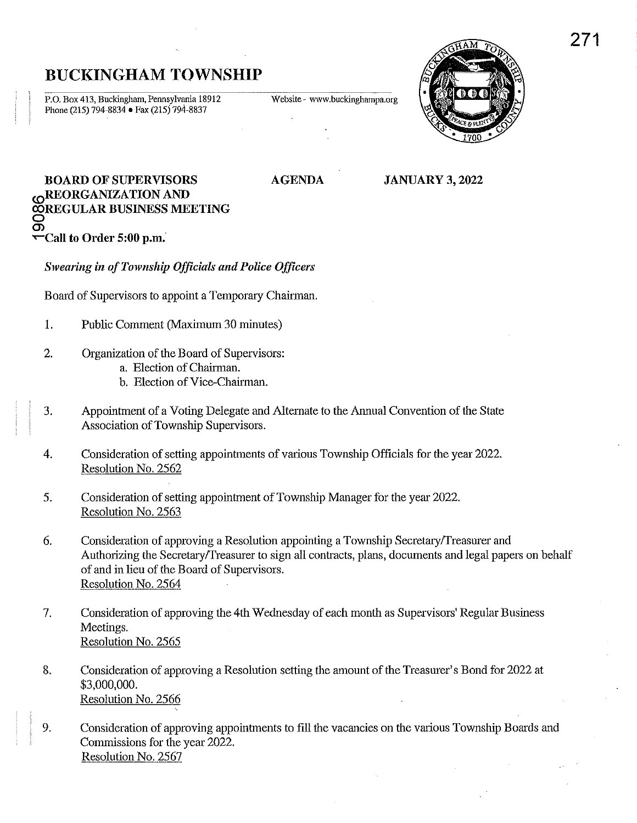## BUCKINGHAM TOWNSHIP

P.O. Box 413, Buckingham, Pennsylvania 18912 Phone (215) 794-8834 • Fax (215) 794-8837

Website - www.buckinghampa.org



### BOARD OF SUPERVISORS **OREORGANIZATION AND õregular business meeting**<br>Q Q)  $\leftarrow$ Call to Order 5:00 p.m.

*Swearing in of Township Officials and Police Officers* 

Board of Supervisors to appoint a Temporary Chairman.

- 1. Public Comment (Maximum 30 minutes)
- 2. Organization of the Board of Supervisors:
	- a. Election of Chairman.
	- b. Election of Vice-Chairman.
- 3. Appointment of a Voting Delegate and Alternate to the Annual Convention of the State Association of Township Supervisors.
- 4. Consideration of setting appointments of various Township Officials for the year 2022. Resolution No. 2562
- 5. Consideration of setting appointment of Township Manager for the year 2022. Resolution No. 2563
- 6. Consideration of approving a Resolution appointing a Township SecretaryfTreasurer and Authorizing the Secretary/Treasurer to sign all contracts, plans, documents and legal papers on behalf of and in lieu of the Board of Supervisors. Resolution No. 2564
- 7. Consideration of approving the 4th Wednesday of each month as Supervisors' Regular Business Meetings. Resolution No. 2565
- 8. Consideration of approving a Resolution setting the amount of the Treasurer's Bond for 2022 at \$3,000,000. Resolution No. 2566
- 9. Consideration of approving appointments to fill the vacancies on the various Township Boards and Commissions for the year 2022. Resolution No. 2567

# AGENDA

JANUARY 3, 2022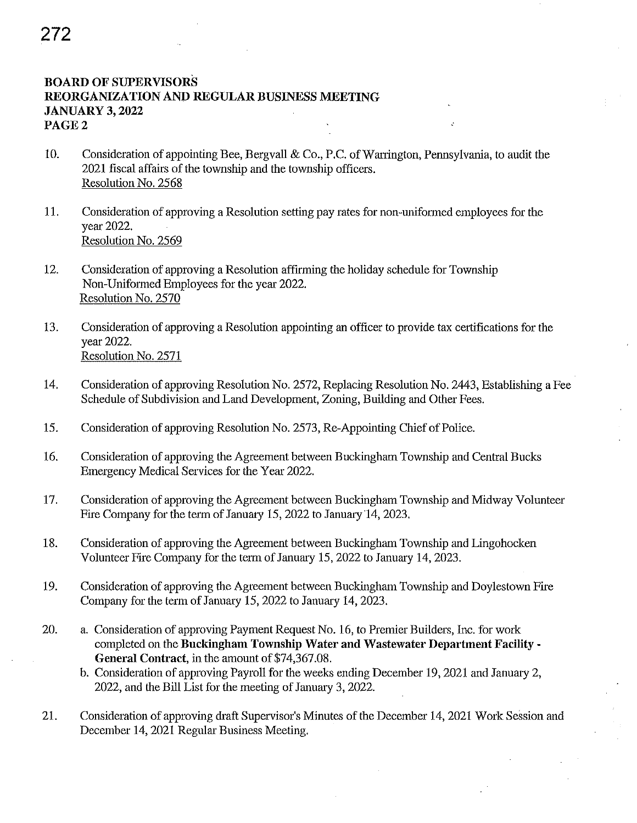## 272

### BOARD OF SUPERVISORS REORGANIZATION AND REGULAR BUSINESS MEETING JANUARY 3, 2022 PAGE 2

- 10. Consideration of appointing Bee, Bergvall & Co., P.C. of Warrington, Pennsylvania, to audit the 2021 fiscal affairs of the township and the township officers. Resolution No. 2568
- 11. Consideration of approving a Resolution setting pay rates for non-unifonned employees for the year 2022. Resolution No. 2569
- 12. Consideration of approving a Resolution affirming the holiday schedule for Township Non-Uniformed Employees for the year 2022. Resolution No. 2570
- 13. Consideration of approving a Resolution appointing an officer to provide tax certifications for the year 2022. Resolution No. 2571
- 14. Consideration of approving Resolution No. 2572, Replacing Resolution No. 2443, Establishing a Fee Schedule of Subdivision and Land Development, Zoning, Building and Other Fees.
- 15. Consideration of approving Resolution No. 2573, Re-Appointing Chief of Police.
- 16. Consideration of approving the Agreement between Buckingham Township and Central Bucks Emergency Medical Services for the Year 2022.
- 17. Consideration of approving the Agreement between Buckingham Township and Midway Volunteer Fire Company for the term of January 15, 2022 to January 14, 2023.
- 18. Consideration of approving the Agreement between Buckingham Township and Lingohocken Volunteer Fire Company for the term of January 15, 2022 to January 14, 2023.
- 19. Consideration of approving the Agreement between Buckingham Township and Doylestown Fire Company for the term of January 15, 2022 to January 14, 2023.
- 20. a. Consideration of approving Payment Request No. 16, to Premier Builders, Inc. for work completed on the Buckingham Township Water and Wastewater Department Facility-General Contract, in the amount of \$74,367.08.
	- b. Consideration of approving Payroll for the weeks ending December 19, 2021 and January 2, 2022, and the Bill List for the meeting of Janumy 3, 2022.
- 21. Consideration of approving draft Supervisor's Minutes of the December 14, 2021 Work Session and December 14, 2021 Regular Business Meeting.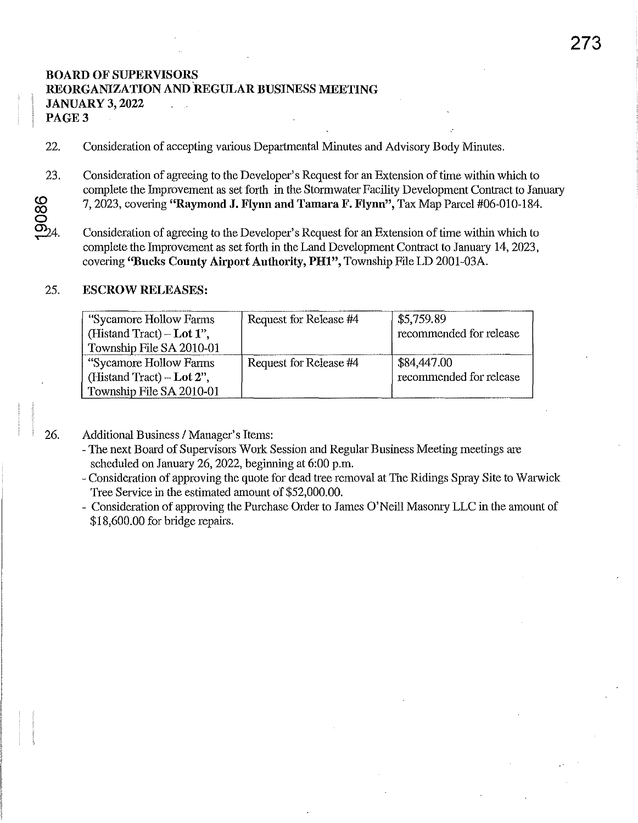### BOARD OF SUPERVISORS REORGANIZATION AND REGULAR BUSINESS MEETING JANUARY 3, 2022  $\mathcal{L}$ ÷.

PAGE 3

- 22. Consideration of accepting various Departmental Minutes and Advisory Body Minutes.
- 23.  $\boldsymbol{\circ}$ CO o Consideration of agreeing to the Developer's Request for an Extension of time within which to complete the Improvement as set forth in the Stormwater Facility Development Contract to January 7, 2023, covering "Raymond J. Flynn and Tamara F. Flynn", Tax Map Parcel #06-010-184.
- $-24.$ Consideration of agreeing to the Developer's Request for an Extension of time within which to complete the Improvement as set forth in the Land Development Contract to January 14, 2023, covering "Bucks County Airport Authority, PH1", Township File LD 2001-03A.

### 25. ESCROW RELEASES:

| "Sycamore Hollow Farms"<br>(Histand Tract) – Lot $1$ ",<br>Township File SA 2010-01 | Request for Release #4 | \$5,759.89<br>recommended for release  |
|-------------------------------------------------------------------------------------|------------------------|----------------------------------------|
| "Sycamore Hollow Farms"<br>(Histand Tract) – Lot $2$ ",<br>Township File SA 2010-01 | Request for Release #4 | \$84,447.00<br>recommended for release |

26.

Additional Business / Manager's Items:

- The next Bom'd of Supervisors Work Session and Regular Business Meeting meetings m'C scheduled on January 26, 2022, beginning at 6:00 p.m.
- Consideration of approving the quote for dead tree removal at The Ridings Spray Site to Warwick Tree Service in the estimated amount of \$52,000.00.
- Consideration of approving the Purchase Order to James O'Neill Masonry LLC in the amount of \$18,600.00 for bridge repairs.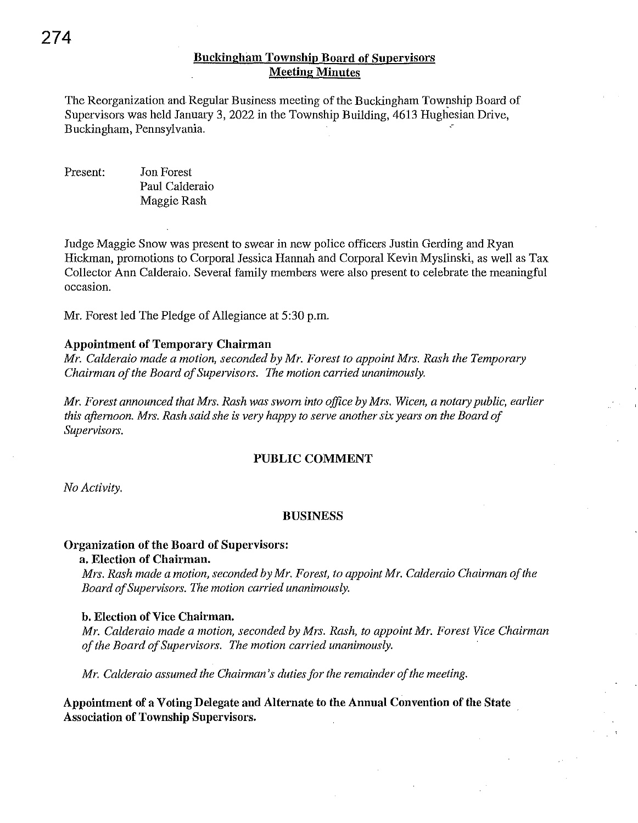The Reorganization and Regular Business meeting of the Buckiugham Township Board of Supervisors was held January 3, 2022 in the Township Building, 4613 Hughesian Drive, Buckingham, Pennsylvania.

Present: Jon Forest Paul Calderaio Maggie Rash

Judge Maggie Snow was present to swear in new police officers Justin Gerding and Ryan Hickman, promotions to Corporal Jessica Hannah and Corporal Kevin Myslinski, as well as Tax Collector Ann Calderaio. Several family members were also present to celebrate the meaningful occasion.

Mr. Forest led The Pledge of Allegiance at 5:30 p.m.

### **Appointment of Temporary Chairman**

*Mr. Calderaio made a motion, seconded by Mr. Forest to appoint Mrs. Rash the Temporary Chairman of the Board of Supervisors. The motion carried unanimously.* 

*Mr. Forest announced that Mrs. Rash was sworn into office by Mrs. Wicen, a notary public, earlier this afternoon. Mrs. Rash said she* is *very happy to serve another six years on the Board of Supervisors.* 

### **PUBLIC COMMENT**

*No Activity.* 

### **BUSINESS**

### **Organization of the Board of Supervisors:**

### **a. Election of Chairman.**

*Mrs. Rash made a motion, seconded by Mr. Forest, to appoint Mr. Calderaio Chairman of the Board of Supervisors. The motion carried unanimously.* 

### **b. Election of Vice Chairman.**

*Mr. Calderaio made a motion, seconded by Mrs. Rash, to appoint Mr. Forest Vice Chairman of the Board of Supervisors. The motion carried unanimously.* 

*Mr. Calderaio assumed the Chairman's duties for the remainder of the meeting.* 

**Appointment of a Voting Delegate and Alternate to the Annual Convention of the State Association of Township Supervisors.**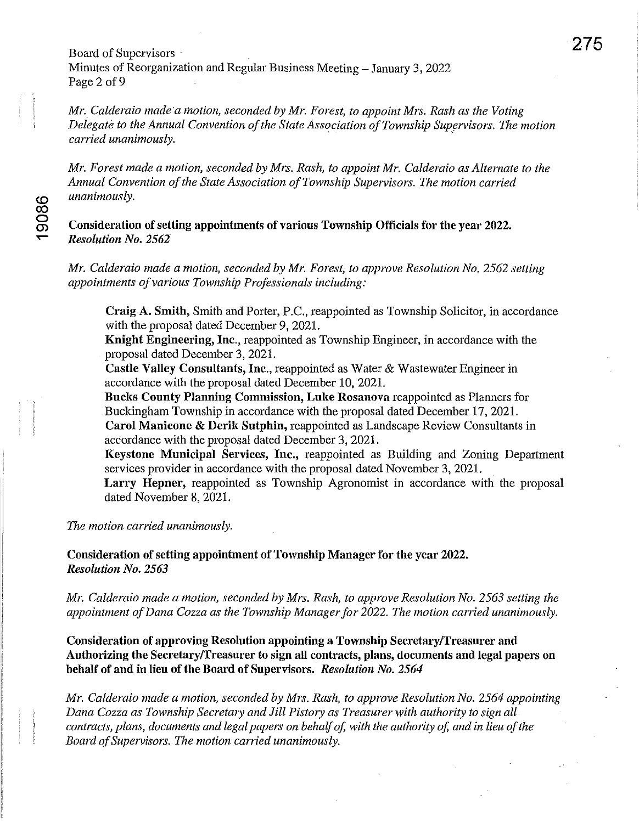Board of Supervisors Minutes of Reorganization and Regular Business Meeting - January 3, 2022 Page 2 of 9

*Mr. Calderaio made'a motion, seconded by Mr. Forest, to appoint Mrs. Rash as the Voting Delegate to the Annual Convention of the State Association of Township Supervisors. The motion carried unanimously.* 

*Mr. Forest made a motion, seconded by Mrs. Rash, to appoint Mr. Calderaio as Alternate to the Annual Convention of the State Association of Township Supervisors. The motion carried*  <0 *unanimously.* 

Consideration of setting appointments of various Township Officials for the year 2022. ..- *Resolution No. 2562* 

*Mr. Calderaio made a motion, seconded by Mr. Forest, to approve Resolution No. 2562 setting appointments of various Township Professionals including:* 

Craig A. Smith, Smith and Porter, P.C., reappointed as Township Solicitor, in accordance with the proposal dated December 9, 202l.

Knight Engineering, Inc., reappointed as Township Engineer, in accordance with the proposal dated December 3, 202l.

Castle Valley Consultants, Inc., reappointed as Water & Wastewater Engineer in accordance with the proposal dated December 10, 2021.

Bucks County Planning Commission, Luke Rosanova reappointed as Planners for Buckingham Township in accordance with the proposal dated December 17, 202l.

Carol Manicone & Derik Sutphin, reappointed as Landscape Review Consultants in accordance with the proposal dated December 3, 2021.

Keystone Municipal Services, Inc., reappointed as Building and Zoning Department services provider in accordance with the proposal dated November 3, 2021.

Larry Hepner, reappointed as Township Agronomist in accordance with the proposal dated November 8, 2021.

*The motion carried unanimously.* 

Consideration of setting appointment of Township Manager for the year 2022. *Resolution No. 2563* 

*Mr. Calderaio made a motion, seconded by Mrs. Rash, to approve Resolution No.* 2563 *setting the appointment of Dana Cozza as the Township Manager for 2022. The motion carried unanimously.* 

Consideration of approving Resolution appointing a Township Secretary/Treasurer and Authorizing the Secretary/Treasurer to sign all contracts, plans, documents and legal papers on behalf of and in lieu of the Board of Supervisors. *Resolution No. 2564* 

*Mr. Calderaio made a motion, seconded by Mrs. Rash, to approve Resolution No.* 2564 *appointing Dana Cozza as Township Secretary and Jill Pistory as Treasurer with authority to sign all contracts, plans, documents and legal papers on behalf of, with the authority of, and in lieu of the Board of Supervisors. The motion carried unanimously.*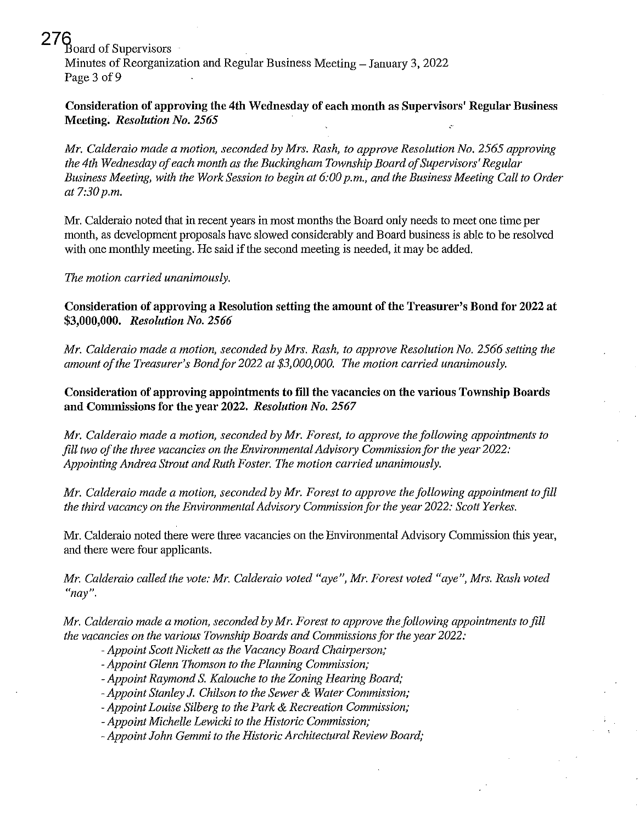$\delta$ Board of Supervisors

Minutes of Reorganization and Regular Business Meeting - January 3, 2022 Page 3 of 9

Consideration of approving the 4th Wednesday of each month as Supervisors' Regular Business Meeting. *Resolution No. 2565* 

*Mr. Calderaio made a motion, seconded by Mrs. Rash, to approve Resolution No.* 2565 *approving the 4th Wednesday of each month as the Buckingham Township Board of Supervisors' Regular Business Meeting, with the Work Session to begin at 6:00 p.m., and the Business Meeting Call to Order at 7:30p.m.* 

Mr. Calderaio noted that in recent years in most months the Board only needs to meet one time per month, as development proposals have slowed considerably and Board business is able to be resolved with one monthly meeting. He said if the second meeting is needed, it may be added.

*The motion carried unanimously.* 

Consideration of approving a Resolution setting the amount of the Treasurer's Bond for 2022 at *\$3,000,000. Resolution No. 2566* 

*Mr. Calderaio made a motion, seconded by Mrs. Rash, to approve Resolution No.* 2566 *setting the amount of the Treasurer's Bondfor 2022 at \$3,000,000. The motion carried unanimously.* 

Consideration of approving appointments to fill the vacancies on the various Township Boards and Commissions for the year 2022. *Resolution No. 2567* 

*Mr. Calderaio made a motion, seconded by Mr. Forest, to approve the following appointments to*  fill two of the three vacancies on the Environmental Advisory Commission for the year 2022: *Appointing Andrea Strout and Ruth Foster. The motion carried unanimously.* 

*Mr. Calderaio made a motion, seconded by MI'. Forest to approve the following appointment to fill the third vacancy on the Environmental AdvisO/y Commission for the year 2022: Scott Yerkes.* 

Mr. Calderaio noted there were three vacancies on the Environmental Advisory Commission this year, and there were four applicants.

*Mr. Calderaio called the vote: Mr. Calderaio voted "aye", MI'. Forest voted "aye", Mrs. Rash voted*  **((nay",** 

*Mr. Calderaio made a motion, seconded by Mr. Forest to approve the following appointments to fill the vacancies on the various Township Boards and Commissions for the year 2022:* 

- *- Appoint Scott Nickett as the Vacancy Board Chairperson;*
- *-Appoint Glenn Thomson to the Planning Commission;*
- *- Appoint Raymond* S. *Kalouche to the Zoning Hearing Board;*
- *-Appoint Stanley J. Chilson to the Sewer* & *Water Commission;*
- *-Appoint Louise Silberg to the Park* & *Recreation Commission;*

*- Appoint Michelle Lewicki to the Historic Commission;* 

*- Appoint John Gemmi to the Historic Architectural Review Board;*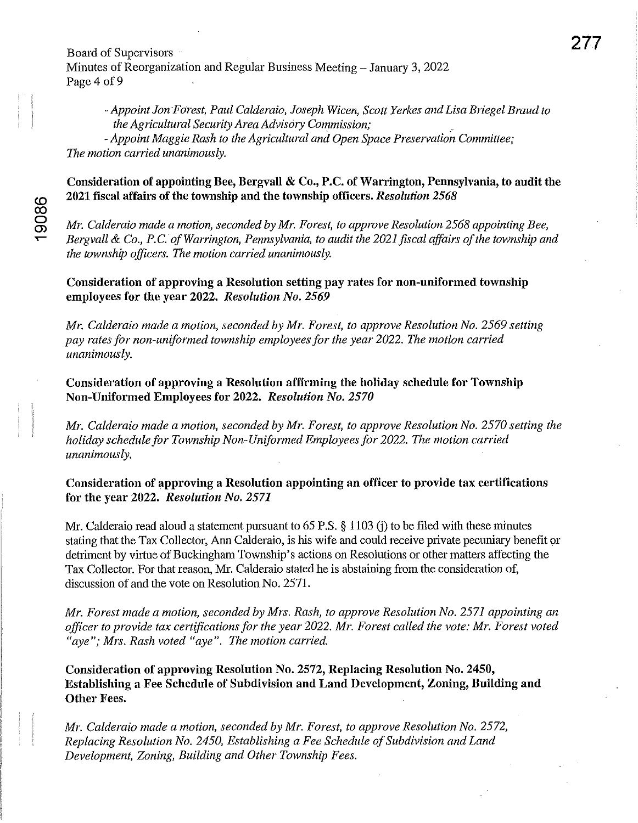Board of Supervisors Minutes of Reorganization and Regular Business Meeting – January 3, 2022 Page 4 of 9

*-Appoint Jon FOi'est, Paul Calderaio, Joseph Wicen, Scott Yerkes and Lisa Briegel Braud to the Agricultural Security Area Advisory Commission; .* 

- *Appoint Maggie Rash to the Agricultural and Open Space Preservation Committee; The motion carried unanimously.* 

### Consideration of appointing Bee, Bergvall & Co., P.C. of Warrington, Pennsylvania, to audit the 2021 fiscal affairs of the township and the township officers. *Resolution 2568*

*Mr. Calderaio made a motion, seconded by Mr. Forest, to approve Resolution 2568 appointing Bee, Bergvall & Co., P.C. of Warrington, Pennsylvania, to audit the 2021 fiscal affairs of the township and the township officers. The motion carried unanimously.* 

Consideration of approving a Resolution setting pay rates for non-uniformed township employees for the year 2022. *Resolution No. 2569* 

*Mr. Calderaio made a motion, seconded by Mr. Forest, to approve Resolution No.* 2569 *setting pay rates for non-uniformed township employees for the year 2022. The motion carried unanimously.* 

Consideration of approving a Resolution affirming the holiday schedule for Township Non-Uniformed Employees for 2022. *Resolution No. 2570* 

*Mr. Calderaio made a motion, seconded by Mr. Forest, to approve Resolution No. 2570 setting the holiday schedule for Township Non-Uniformed Employees for 2022. The motion carried unanimously.* 

### Consideration of approving a Resolution appointing an officer to provide tax certifications for the year 2022. *Resolution No. 2571*

Mr. Calderaio read aloud a statement pursuant to 65 P.S. § 1103 (j) to be filed with these minutes stating that the Tax Collector, Ann Calderaio, is his wife and could receive private pecuniary benefit or detriment by virtue of Buckingham Township's actions on Resolutions or other matters affecting the Tax Collector. For that reason, Mr. Calderaio stated he is abstaining from the consideration of, discussion of and the vote on Resolution No. 2571.

*Mr. Forest made a motion, seconded by Mrs. Rash, to approve Resolution No. 2571 appointing an officer to provide tax certifications for the year 2022. Mr. Forest called the vote: Mr. Forest voted "aye"; Mrs. Rash voted "aye". The motion carried.* 

Consideration of approving Resolution No. 2572, Replacing Resolution No. 2450, Establishing a Fee Schedule of Subdivision and Land Development, Zoning, Building and Other Fees.

*Mr. Calderaio made a motion, seconded by Mr. Forest, to approve Resolution No. 2572, Replacing Resolution No. 2450, Establishing a Fee Schedule of Subdivision and Land Development, Zoning, Building and Other Township Fees.*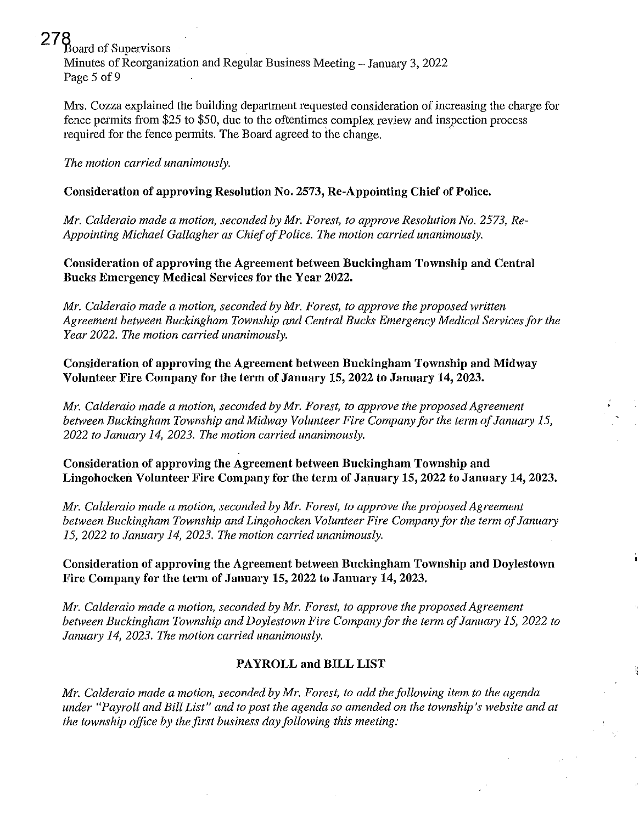278 Board of Supervisors Minutes of Reorganization and Regular Business Meeting - January 3, 2022 Page 5 of 9

Mrs. Cozza explained the building department requested consideration of increasing the charge for fence peimits from \$25 to \$50, due to the oftentimes complex review and inspection process required for the fence permits. The Board agreed to the change. .

*The motion carried unanimously.* 

## **Consideration of approving Resolution No. 2573, Re-Appointing Chief of Police.**

Mr. Calderaio made a motion, seconded by Mr. Forest, to approve Resolution No. 2573, Re-*Appointing Michael Gallagher as Chief of Police. The motion carried unanimously.* 

**Consideration of approving the Agreement between Buckingham Township and Central Bucks Emergency Medical Services for the Year 2022.** 

*Mr. Calderaio made a motion, seconded by Mr. Forest, to approve the proposed written Agreement between Buckingham Township and Central Bucks Emergency Medical Services for the Year 2022. The motion carried unanimously.* 

**Consideration of approving the Agreement between Buckingham Township and Midway Volunteer Fire Company for the term of January 15, 2022 to January 14, 2023.** 

*Mr. Calderaio made a motion, seconded by Mr. Forest, to approve the proposed Agreement between Buckingham Township and Midway Volunteer Fire Company for the term of January 15, 2022 to Janumy 14,2023. The motion carried unanimously.* 

**Consideration of approving the Agreement between Buckingham Township and Lingohocken Volunteer Fire Company for the term of January 15, 2022 to January 14, 2023.** 

*Mr. Calderaio made a motion, seconded by Mr. Forest, to approve the proposed Agreement between Buckingham Township and Lingohocken Volunteer Fire Company for the term of January 15,2022 to Janumy 14,2023. The motion carried unanimously.* 

**Consideration of approving the Agreement between Buckingham Township and Doylestown Fire Company for the term of January 15, 2022 to January 14, 2023.** 

*Mr. Calderaio made a motion, seconded by Mr. Forest, to approve the proposed Agreement between Buckingham Township and Doylestown Fire Company for the term of January* 15, *2022 to January 14,2023. The motion carried unanimously.* 

### **PAYROLL and BILL LIST**

*Mr. Calderaio made a motion, seconded by Mr. Forest, to add the following item to the agenda under "Payroll and Bill List" and to post the agenda so amended on the township's website and at the township office by the first business day following this meeting:*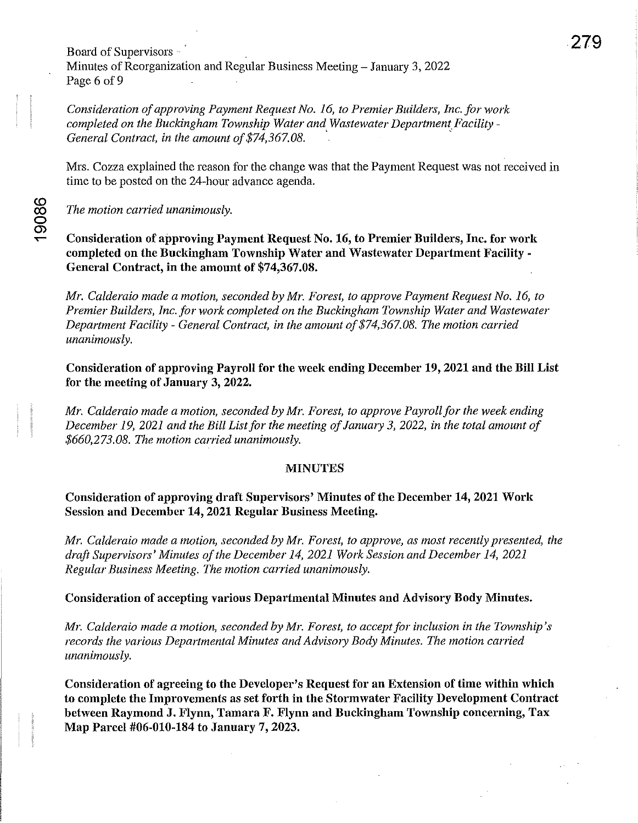Board of Supervisors Minutes of Reorganization and Regular Business Meeting - January 3, 2022 Page 6 of 9

*Consideration of approving Payment Request No.* 16, *to Premier Builders, Inc. for work completed on the Buckingham Township Water and Wastewater Department Facility* - General Contract, in the amount of \$74,367.08.

Mrs. Cozza explained the reason for the change was that the Payment Request was not received in time to be posted on the 24-hour advance agenda.

*The motion carried unanimously.* 

**""'" Consideration of approving Payment Request No. 16, to Premier Builders, Inc. for work completed on the Buckingham Township Water and Wastewater Department Facility - General Contract, in the amount of \$74,367.08.** 

*Mr. Calderaio made a motion, seconded by Mr. Forest, to approve Payment Request No.* 16, *to Premier Builders, Inc. for work completed on the Buckingham Township Water and Wastewater Department Facility* - *General Contract, in the amount of \$74,367.08. The motion carried unanimously.* 

**Consideration of approving Payroll for the week ending December 19, 2021 and the Bill List for the meeting of January 3, 2022.** 

*Mr. Calderaio made a motion, seconded by Mr. Forest, to approve Payroll for the week ending December* 19, *2021 and the Bill List for the meeting of January* 3, *2022, in the total amount of \$660,273.08. The motion carried unanimously.* 

### **MINUTES**

### **Consideration of approving draft Supervisors' Minutes of the December 14, 2021 Work Session and December 14,2021 Regular Business Meeting.**

*Mr. Calderaio made a motion, seconded by Mr. Forest, to approve, as most recently presented, the draft Supervisors' Minutes of the December 14, 2021 Work Session and December 14, 2021 Regular Business Meeting. The motion carried unanimously.* 

### **Consideration of accepting various Departmental Minutes and Advisory Body Minutes.**

*Mr. Calderaio made a motion, seconded by Mr. Forest, to acceptfor inclusion in the Township's*  records the various Departmental Minutes and Advisory Body Minutes. The motion carried *unanimously.* 

**Consideration of agreeing to the Developer's Request for an Extension of time within which to complete the Improvements as set forth in the Stormwater Facility Development Contract between Raymond J. Flynn, Tamara F. Flynn and Buckingham Township concerning, Tax Map Parcel #06-010-184 to January 7, 2023.**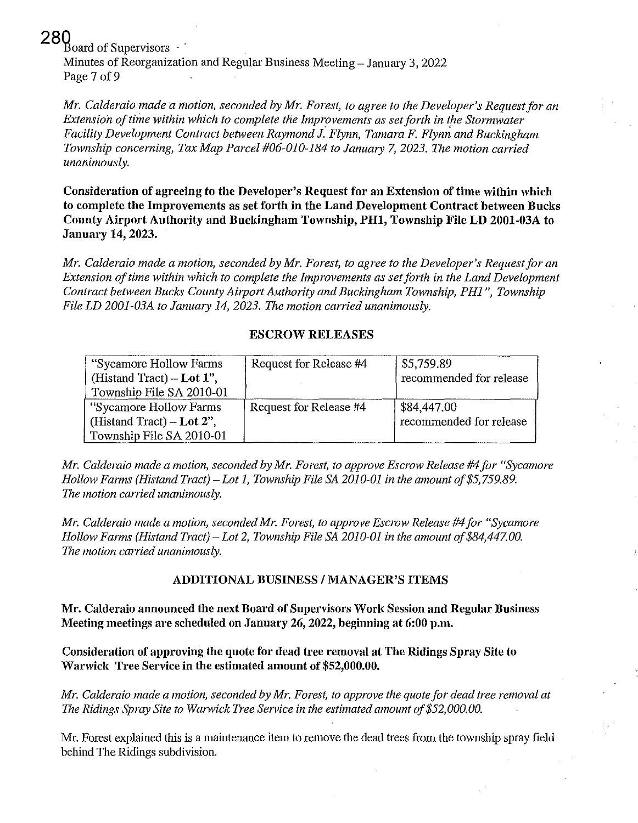280<br>Board of Supervisors

Minutes of Reorganization and Regular Business Meeting - January 3, 2022 Page 7 of 9

*Mr. Calderaio made a motion, seconded by Mr. Forest, to agree to the Developer's Request for an Extension of time within which to complete the Improvements as set forth in the Stormwater Facility Development Contract between Raymond J. Flynn, Tamara F. Flynn and Buckingham Township concerning, Tax Map Parcel #06-010-184 to January* 7, *2023. The motion carried unanimously.* 

Consideration of agreeing to the Developer's Request for an Extension of time within which to complete the Improvements as set forth in the Land Development Contract between Bucks County Airport Authority and Buckingham Township, PH1, Township File LD 2001-03A to January 14, 2023.

*Mr. Calderaio made a motion, seconded by Mr. Forest, to agree to the Developer's Requestfor an Extension of time within which to complete the Improvements as set forth in the Land Development Contract between Bucks County Airport Authority and Buckingham Township, PH1", Township File LD 2001-03A to January 14,2023. The motion carried unanimously.* 

### ESCROW RELEASES

| "Sycamore Hollow Farms"<br>(Histand Tract) – Lot $1$ ",<br>Township File SA 2010-01 | Request for Release #4 | \$5,759.89<br>recommended for release |
|-------------------------------------------------------------------------------------|------------------------|---------------------------------------|
| "Sycamore Hollow Farms"                                                             | Request for Release #4 | \$84,447.00                           |
| (Histand Tract) – Lot 2".                                                           |                        | recommended for release               |
| Township File SA 2010-01                                                            |                        |                                       |

*Mr. Calderaio made a motion, seconded by Mr. Forest, to approve Escrow Release* #4 *for "Sycamore Hollow Farms (Histand Tract) – Lot 1, Township File SA 2010-01 in the amount of \$5,759.89. The motion carried unanimously.* 

*Mr. Calderaio made a motion, seconded Mr. Forest, to approve Escrow Release* #4 *for "Sycamore Hollow Farms (Histand Tract)* - *Lot* 2, *Township File SA 2010-01 in the amount of\$84,447.00. The motion carried unanimously.* 

### ADDITIONAL BUSINESS / MANAGER'S ITEMS

Mr. Calderaio announced the next Board of Supervisors Worl, Session and Regular Business Meeting meetings are scheduled on January 26, 2022, beginning at 6:00 p.m.

Consideration of approving the quote for dead tree removal at The Ridings Spray Site to Warwick Tree Service in the estimated amount of \$52,000.00.

*Mr. Calderaio made a motion, seconded by Mr. Forest, to approve the quote for dead tree removal at The Ridings Spray Site to Warwick Tree Service in the estimated amount of \$52,000.00.* 

Mr. Forest explained this is a maintenance item to remove the dead trees from the township spray field behind The Ridings subdivision.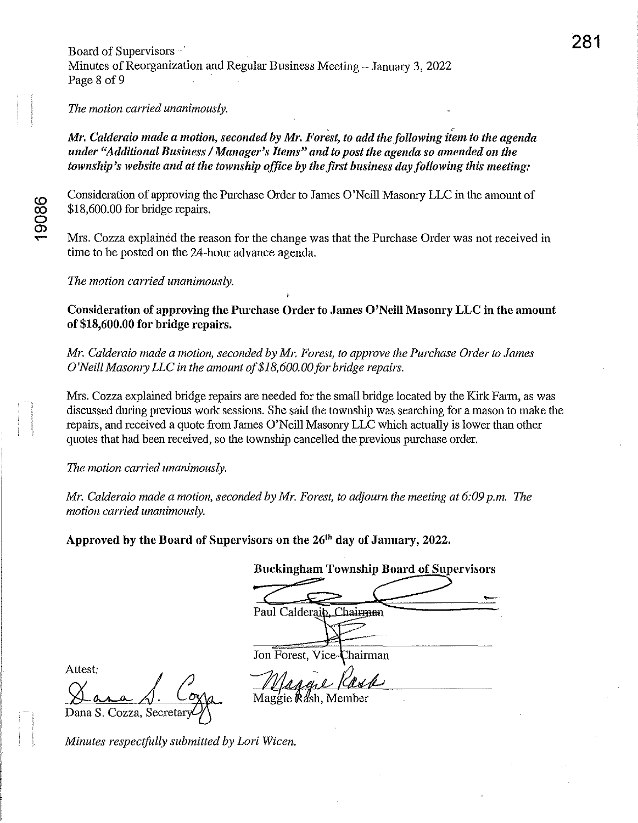Board of Supervisors  $\cdot$ Minutes of Reorganization and Regular Business Meeting - January 3, 2022 Page 8 of 9

*The motion carried unanimously.* 

*Mr. Calderaio made a motion, seconded by Mr. Forest, to add the following item to the agenda under "Additional Business* / *Manager's Items" and to post the agenda so amended on the township's website and at the township office by the first business day following this meeting:* 

Consideration of approving the Purchase Order to James O'Neill Masonry LLC in the amount of \$18,600.00 for bridge repairs.

Mrs. Cozza explained the reason for the change was that the Purchase Order was not received in time to be posted on the 24-hour advance agenda.

*The motion carried unanimously.* 

Consideration of approving the Purchase Order to James O'Neill Masonry LLC in the amount of \$18,600.00 for bridge repairs.

*Mr. Calderaio made a motion, seconded by Mr. Forest, to approve the Purchase Order to James O'Neill Masonry LLC in the amount of\$18, 600. 00 for bridge repairs.* 

Mrs. Cozza explained bridge repairs are needed for the small bridge located by the Kirk Farm, as was discussed during previous work sessions. She said the township was searching for a mason to make the repairs, and received a quote from James O'Neill Masonry LLC which actually is lower than other quotes that had been received, so the township cancelled the previous purchase order.

*The motion carried unanimously.* 

*Mr. Calderaio made a motion, seconded by Mr. Forest, to adjourn the meeting at 6:09 p.m. The*   $motion$  *carried unanimously.* 

Approved by the Board of Supervisors on the 26<sup>th</sup> day of January, 2022.

Buckingham Township Board of Supervisors

Jon Forest, Vice-Chairman<br>*Maggil Reste* Maggie *Rdsh*, Member

Attest:

Dana S. Cozza, Secreta

*Minutes respectfully submitted by Lori Wicen.*